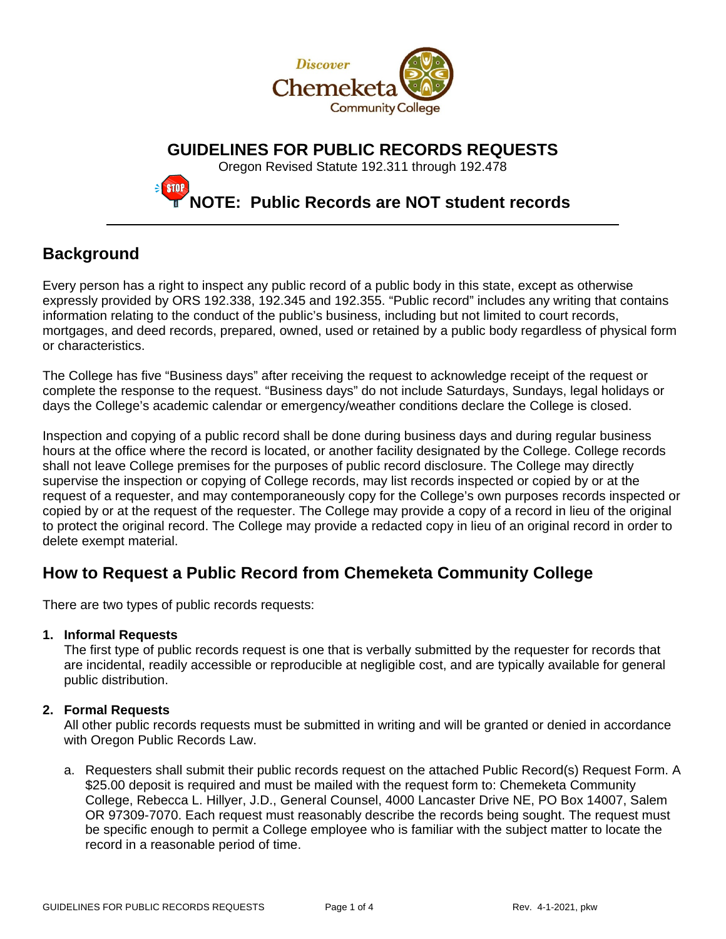

**GUIDELINES FOR PUBLIC RECORDS REQUESTS**

Oregon Revised Statute 192.311 through 192.478

## **NOTE: Public Records are NOT student records**

## **Background**

Every person has a right to inspect any public record of a public body in this state, except as otherwise expressly provided by ORS 192.338, 192.345 and 192.355. "Public record" includes any writing that contains information relating to the conduct of the public's business, including but not limited to court records, mortgages, and deed records, prepared, owned, used or retained by a public body regardless of physical form or characteristics.

The College has five "Business days" after receiving the request to acknowledge receipt of the request or complete the response to the request. "Business days" do not include Saturdays, Sundays, legal holidays or days the College's academic calendar or emergency/weather conditions declare the College is closed.

Inspection and copying of a public record shall be done during business days and during regular business hours at the office where the record is located, or another facility designated by the College. College records shall not leave College premises for the purposes of public record disclosure. The College may directly supervise the inspection or copying of College records, may list records inspected or copied by or at the request of a requester, and may contemporaneously copy for the College's own purposes records inspected or copied by or at the request of the requester. The College may provide a copy of a record in lieu of the original to protect the original record. The College may provide a redacted copy in lieu of an original record in order to delete exempt material.

## **How to Request a Public Record from Chemeketa Community College**

There are two types of public records requests:

**STOP** 

#### **1. Informal Requests**

The first type of public records request is one that is verbally submitted by the requester for records that are incidental, readily accessible or reproducible at negligible cost, and are typically available for general public distribution.

#### **2. Formal Requests**

All other public records requests must be submitted in writing and will be granted or denied in accordance with Oregon Public Records Law.

a. Requesters shall submit their public records request on the attached Public Record(s) Request Form. A \$25.00 deposit is required and must be mailed with the request form to: Chemeketa Community College, Rebecca L. Hillyer, J.D., General Counsel, 4000 Lancaster Drive NE, PO Box 14007, Salem OR 97309-7070. Each request must reasonably describe the records being sought. The request must be specific enough to permit a College employee who is familiar with the subject matter to locate the record in a reasonable period of time.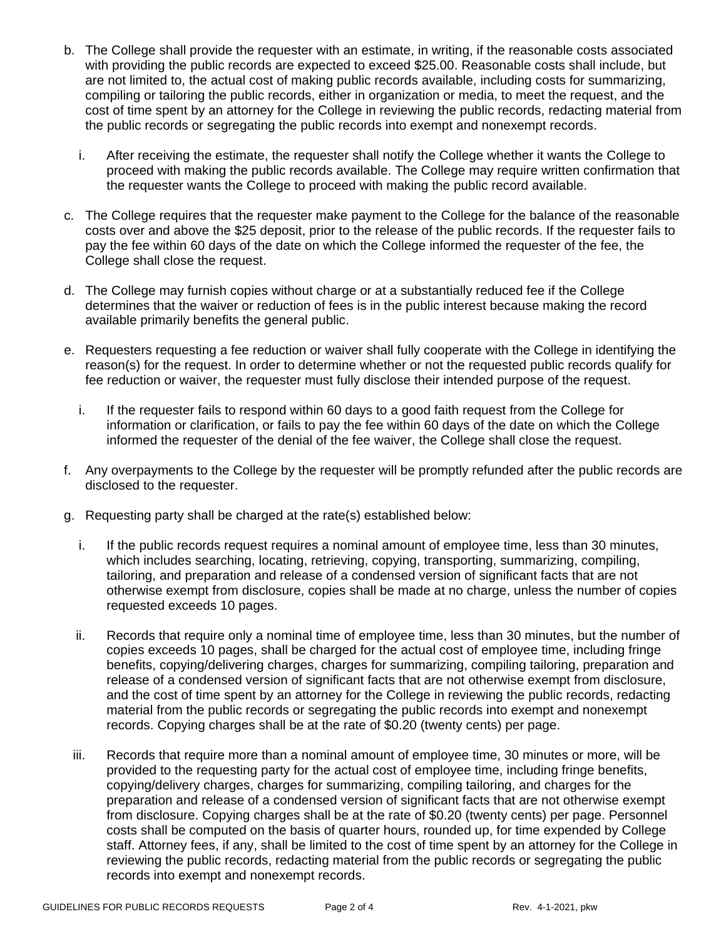- b. The College shall provide the requester with an estimate, in writing, if the reasonable costs associated with providing the public records are expected to exceed \$25.00. Reasonable costs shall include, but are not limited to, the actual cost of making public records available, including costs for summarizing, compiling or tailoring the public records, either in organization or media, to meet the request, and the cost of time spent by an attorney for the College in reviewing the public records, redacting material from the public records or segregating the public records into exempt and nonexempt records.
	- i. After receiving the estimate, the requester shall notify the College whether it wants the College to proceed with making the public records available. The College may require written confirmation that the requester wants the College to proceed with making the public record available.
- c. The College requires that the requester make payment to the College for the balance of the reasonable costs over and above the \$25 deposit, prior to the release of the public records. If the requester fails to pay the fee within 60 days of the date on which the College informed the requester of the fee, the College shall close the request.
- d. The College may furnish copies without charge or at a substantially reduced fee if the College determines that the waiver or reduction of fees is in the public interest because making the record available primarily benefits the general public.
- e. Requesters requesting a fee reduction or waiver shall fully cooperate with the College in identifying the reason(s) for the request. In order to determine whether or not the requested public records qualify for fee reduction or waiver, the requester must fully disclose their intended purpose of the request.
	- i. If the requester fails to respond within 60 days to a good faith request from the College for information or clarification, or fails to pay the fee within 60 days of the date on which the College informed the requester of the denial of the fee waiver, the College shall close the request.
- f. Any overpayments to the College by the requester will be promptly refunded after the public records are disclosed to the requester.
- g. Requesting party shall be charged at the rate(s) established below:
	- i. If the public records request requires a nominal amount of employee time, less than 30 minutes, which includes searching, locating, retrieving, copying, transporting, summarizing, compiling, tailoring, and preparation and release of a condensed version of significant facts that are not otherwise exempt from disclosure, copies shall be made at no charge, unless the number of copies requested exceeds 10 pages.
	- ii. Records that require only a nominal time of employee time, less than 30 minutes, but the number of copies exceeds 10 pages, shall be charged for the actual cost of employee time, including fringe benefits, copying/delivering charges, charges for summarizing, compiling tailoring, preparation and release of a condensed version of significant facts that are not otherwise exempt from disclosure, and the cost of time spent by an attorney for the College in reviewing the public records, redacting material from the public records or segregating the public records into exempt and nonexempt records. Copying charges shall be at the rate of \$0.20 (twenty cents) per page.
	- iii. Records that require more than a nominal amount of employee time, 30 minutes or more, will be provided to the requesting party for the actual cost of employee time, including fringe benefits, copying/delivery charges, charges for summarizing, compiling tailoring, and charges for the preparation and release of a condensed version of significant facts that are not otherwise exempt from disclosure. Copying charges shall be at the rate of \$0.20 (twenty cents) per page. Personnel costs shall be computed on the basis of quarter hours, rounded up, for time expended by College staff. Attorney fees, if any, shall be limited to the cost of time spent by an attorney for the College in reviewing the public records, redacting material from the public records or segregating the public records into exempt and nonexempt records.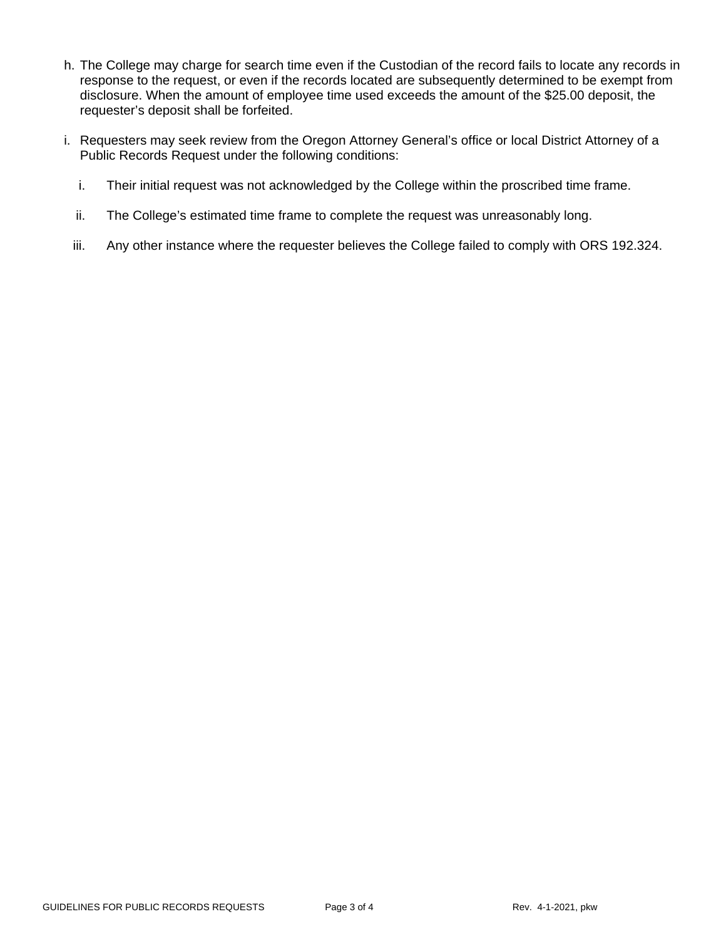- h. The College may charge for search time even if the Custodian of the record fails to locate any records in response to the request, or even if the records located are subsequently determined to be exempt from disclosure. When the amount of employee time used exceeds the amount of the \$25.00 deposit, the requester's deposit shall be forfeited.
- i. Requesters may seek review from the Oregon Attorney General's office or local District Attorney of a Public Records Request under the following conditions:
	- i. Their initial request was not acknowledged by the College within the proscribed time frame.
	- ii. The College's estimated time frame to complete the request was unreasonably long.
	- iii. Any other instance where the requester believes the College failed to comply with ORS 192.324.